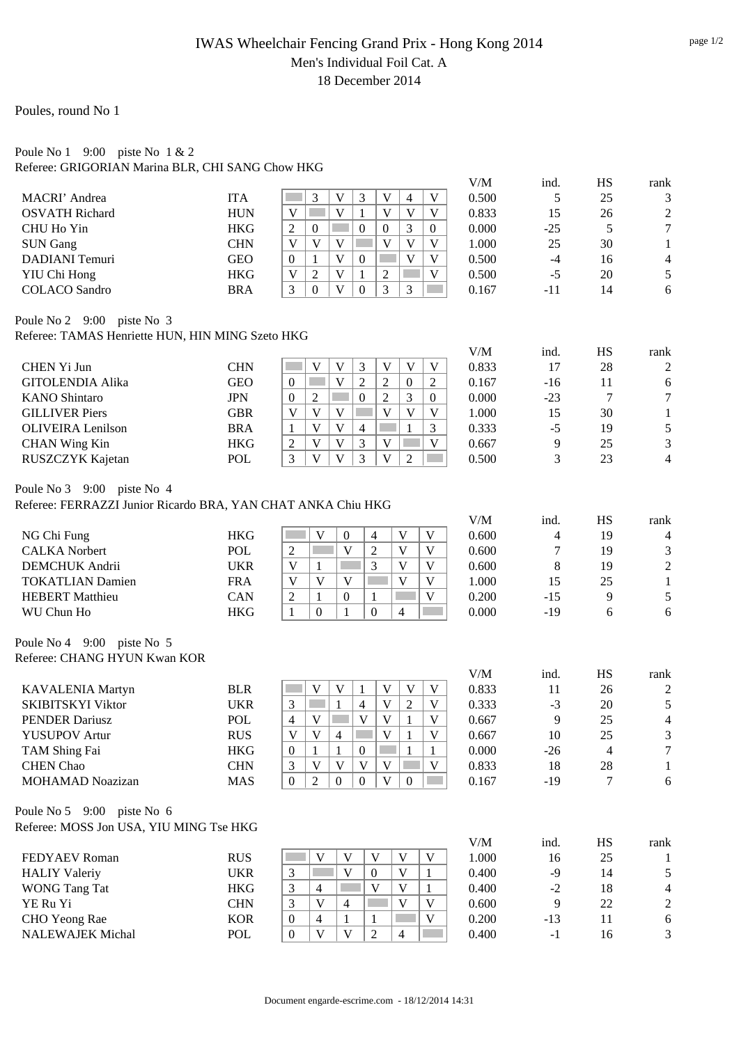## IWAS Wheelchair Fencing Grand Prix - Hong Kong 2014 Men's Individual Foil Cat. A 18 December 2014

Poules, round No 1

## Poule No 1 9:00 piste No 1 & 2 Referee: GRIGORIAN Marina BLR, CHI SANG Chow HKG

|                                                                                            |                          |                                                                                                                                                               | V/M                                 | ind.        | <b>HS</b>            | rank                  |
|--------------------------------------------------------------------------------------------|--------------------------|---------------------------------------------------------------------------------------------------------------------------------------------------------------|-------------------------------------|-------------|----------------------|-----------------------|
| <b>MACRI</b> ' Andrea                                                                      | <b>ITA</b>               | $\mathfrak{Z}$<br>$\mathbf{V}$<br>3<br>V<br>$\mathbf V$<br>4                                                                                                  | 0.500                               | 5           | 25                   | 3                     |
| <b>OSVATH Richard</b>                                                                      | <b>HUN</b>               | $\mathbf V$<br>V<br>$\mathbf{V}$<br>$\mathbf V$<br>$\mathbf{1}$<br>$\mathbf V$                                                                                | 0.833                               | 15          | 26                   | $\mathbf{2}$          |
| CHU Ho Yin                                                                                 | <b>HKG</b>               | 3<br>$\boldsymbol{0}$<br>$\overline{c}$<br>$\overline{0}$<br>$\overline{0}$<br>$\boldsymbol{0}$                                                               | 0.000                               | $-25$       | 5                    | $\boldsymbol{7}$      |
| <b>SUN Gang</b>                                                                            | <b>CHN</b>               | $\overline{V}$<br>$\overline{\mathbf{V}}$<br>$\mathbf{V}$<br>$\mathbf{V}$<br>$\mathbf{V}$<br>V                                                                | 1.000                               | 25          | 30                   | $\mathbf{1}$          |
| <b>DADIANI</b> Temuri                                                                      | <b>GEO</b>               | $\overline{\mathbf{V}}$<br>$\mathbf V$<br>$\mathbf V$<br>$\boldsymbol{0}$<br>$\mathbf{0}$<br>1                                                                | 0.500                               | $-4$        | 16                   | $\overline{4}$        |
| YIU Chi Hong                                                                               | <b>HKG</b>               | $\mathbf V$<br>$\overline{2}$<br>$\mathbf{1}$<br>$\mathfrak 2$<br>V<br>V                                                                                      | 0.500                               | $-5$        | 20                   | 5                     |
| <b>COLACO</b> Sandro                                                                       | <b>BRA</b>               | $\mathbf{V}$<br>$\overline{3}$<br>$\boldsymbol{0}$<br>3<br>3<br>$\boldsymbol{0}$                                                                              | 0.167                               | $-11$       | 14                   | 6                     |
| Poule No 2 9:00 piste No 3                                                                 |                          |                                                                                                                                                               |                                     |             |                      |                       |
| Referee: TAMAS Henriette HUN, HIN MING Szeto HKG                                           |                          |                                                                                                                                                               |                                     |             |                      |                       |
| CHEN Yi Jun                                                                                | <b>CHN</b>               | $\mathbf V$<br>V<br>$\mathbf V$<br>V<br>V<br>3                                                                                                                | V/M<br>0.833                        | ind.<br>17  | HS<br>28             | rank<br>$\sqrt{2}$    |
| <b>GITOLENDIA Alika</b>                                                                    | <b>GEO</b>               | $\mathbf{V}$<br>$\overline{2}$<br>$\mathfrak 2$<br>$\boldsymbol{0}$<br>2<br>$\mathbf{0}$                                                                      | 0.167                               | $-16$       | 11                   | 6                     |
| <b>KANO</b> Shintaro                                                                       | <b>JPN</b>               | $\overline{2}$<br>3<br>$\overline{2}$<br>$\mathbf{0}$<br>$\mathbf{0}$<br>$\mathbf{0}$                                                                         | 0.000                               | $-23$       | $\tau$               | $\boldsymbol{7}$      |
| <b>GILLIVER Piers</b>                                                                      | <b>GBR</b>               | $\overline{\mathbf{V}}$<br>$\mathbf{V}$<br>V<br>$\mathbf V$<br>V<br>V                                                                                         | 1.000                               | 15          | 30                   | $\mathbf{1}$          |
| <b>OLIVEIRA</b> Lenilson                                                                   | <b>BRA</b>               | $\overline{\mathbf{V}}$<br>$\mathbf{V}$<br>$\overline{4}$<br>$\mathbf{1}$<br>3<br>1                                                                           | 0.333                               | $-5$        | 19                   | 5                     |
| <b>CHAN Wing Kin</b>                                                                       | <b>HKG</b>               | $\mathbf V$<br>V<br>3<br>V<br>$\sim 10$<br>$\mathbf V$<br>2                                                                                                   | 0.667                               | 9           | 25                   | 3                     |
| RUSZCZYK Kajetan                                                                           | POL                      | $\overline{\mathbf{V}}$<br>3<br>$\mathbf{V}$<br>3<br>V<br>$\overline{2}$<br><b>Contract</b>                                                                   | 0.500                               | 3           | 23                   | $\overline{4}$        |
|                                                                                            |                          |                                                                                                                                                               |                                     |             |                      |                       |
| Poule No 3 9:00 piste No 4<br>Referee: FERRAZZI Junior Ricardo BRA, YAN CHAT ANKA Chiu HKG |                          |                                                                                                                                                               |                                     |             |                      |                       |
|                                                                                            |                          |                                                                                                                                                               | V/M                                 | ind.        | HS                   | rank                  |
| NG Chi Fung                                                                                | <b>HKG</b>               | V<br>V<br>$\mathbf V$<br>$\boldsymbol{0}$<br>$\overline{\mathcal{A}}$<br>in.                                                                                  | 0.600                               | 4           | 19                   | $\overline{4}$        |
| <b>CALKA Norbert</b>                                                                       | <b>POL</b>               | $\mathbf{V}$<br>$\mathbf{V}$<br>$\mathfrak{2}$<br>$\mathbf{V}$<br>$\overline{2}$                                                                              | 0.600                               | 7           | 19                   | 3                     |
| <b>DEMCHUK</b> Andrii                                                                      | <b>UKR</b>               | 3<br>V<br>V<br>$\mathbf V$<br>$\mathbf{1}$                                                                                                                    | 0.600                               | 8           | 19                   | $\overline{c}$        |
| <b>TOKATLIAN Damien</b>                                                                    | <b>FRA</b>               | V<br>V<br>V<br>V<br>V                                                                                                                                         | 1.000                               | 15          | 25                   | $\mathbf{1}$          |
| <b>HEBERT</b> Matthieu                                                                     | CAN                      | $\overline{2}$<br>$\mathbf V$<br>$\mathbf{1}$<br>$\mathbf{0}$<br>1                                                                                            | 0.200                               | $-15$       | 9                    | 5                     |
| WU Chun Ho                                                                                 | <b>HKG</b>               | $\boldsymbol{0}$<br>1<br>$\Omega$<br>$\overline{4}$<br>1                                                                                                      | 0.000                               | $-19$       | 6                    | 6                     |
| Poule No 4 9:00 piste No 5                                                                 |                          |                                                                                                                                                               |                                     |             |                      |                       |
| Referee: CHANG HYUN Kwan KOR                                                               |                          |                                                                                                                                                               |                                     |             |                      |                       |
|                                                                                            |                          | $\mathbf{V}$<br>$\mathbf V$                                                                                                                                   | V/M                                 | ind.        | HS                   | rank                  |
| <b>KAVALENIA Martyn</b>                                                                    | <b>BLR</b>               | $\mathbf V$<br>$\ensuremath{\mathsf{V}}$<br>$\mathbf{1}$<br>V<br>V<br>$\mathbf V$                                                                             | 0.833                               | 11          | 26                   | $\overline{c}$        |
| <b>SKIBITSKYI Viktor</b>                                                                   | <b>UKR</b>               | 3<br>$\mathbf{1}$<br>$\sqrt{2}$<br>$\overline{4}$<br>$\mathbf{V}$<br>$\mathcal{L}^{\text{max}}$<br>$\mathbf{V}$<br>$\mathbf{1}$<br>$\mathbf V$<br>$\mathbf V$ | 0.333                               | $-3$        | 20                   | 5                     |
| <b>PENDER Dariusz</b>                                                                      | POL                      | 4<br>$\mathbf{V}$<br>$\Box$ $\Box$<br>$\vert 1 \vert$<br>V<br>$\mathbf V$                                                                                     | 0.667                               | 9           | 25                   | $\overline{4}$        |
| <b>YUSUPOV Artur</b>                                                                       | RUS                      | $\vert 4 \vert$                                                                                                                                               | 0.667                               | $10\,$      | 25                   | 3<br>$\tau$           |
| TAM Shing Fai                                                                              | <b>HKG</b>               | $\boldsymbol{0}$<br>1<br>$\mathbf{1}$<br>$\boldsymbol{0}$<br>1<br>1<br>$\mathbf V$<br>$\mathbf V$<br>$\mathbf V$<br>$\mathbf V$                               | 0.000                               | $-26$       | $\overline{4}$       |                       |
| <b>CHEN</b> Chao<br><b>MOHAMAD Noazizan</b>                                                | <b>CHN</b><br><b>MAS</b> | 3<br>V<br>$\mathbf V$<br>$\overline{2}$<br>$\boldsymbol{0}$<br>$\boldsymbol{0}$<br>$\boldsymbol{0}$<br>$\overline{0}$                                         | 0.833<br>0.167                      | 18<br>$-19$ | 28<br>$\overline{7}$ | $\mathbf{1}$<br>$6\,$ |
|                                                                                            |                          |                                                                                                                                                               |                                     |             |                      |                       |
| Poule No 5 9:00 piste No 6<br>Referee: MOSS Jon USA, YIU MING Tse HKG                      |                          |                                                                                                                                                               |                                     |             |                      |                       |
|                                                                                            |                          |                                                                                                                                                               | $V\hspace{-0.1cm}/\hspace{-0.1cm}M$ | ind.        | HS                   | rank                  |
| FEDYAEV Roman                                                                              | <b>RUS</b>               | $\mathbf V$<br>$\mathbf V$<br>V<br>V<br>V                                                                                                                     | 1.000                               | 16          | 25                   | $\mathbf{1}$          |
| <b>HALIY Valeriy</b>                                                                       | <b>UKR</b>               | $\mathbf{V}$<br>$\mathbf{V}$<br>3<br>$\boldsymbol{0}$<br>$\mathbf{1}$                                                                                         | 0.400                               | $-9$        | 14                   | 5                     |
| <b>WONG Tang Tat</b>                                                                       | <b>HKG</b>               | $\mathfrak{Z}$<br>$\overline{4}$<br>$\mathbf V$<br>$\mathbf V$<br>$\mathbf{1}$                                                                                | 0.400                               | $-2$        | 18                   | $\overline{4}$        |
| YE Ru Yi                                                                                   | <b>CHN</b>               | $\overline{V}$<br>$\mathbf V$<br>$\mathbf V$<br>3<br>4                                                                                                        | 0.600                               | 9           | 22                   | $\mathbf{2}$          |
| CHO Yeong Rae                                                                              | <b>KOR</b>               | $\overline{4}$<br>$\mathbf V$<br>$\mathbf{1}$<br>$\mathbf{0}$<br>1                                                                                            | 0.200                               | $-13$       | $11\,$               | $\sqrt{6}$            |
| <b>NALEWAJEK Michal</b>                                                                    | POL                      | $\mathbf V$<br>$\mathbf{V}$<br>$\overline{2}$<br>$\overline{4}$<br>$\mathbf{0}$                                                                               | 0.400                               | $-1$        | 16                   | 3                     |
|                                                                                            |                          |                                                                                                                                                               |                                     |             |                      |                       |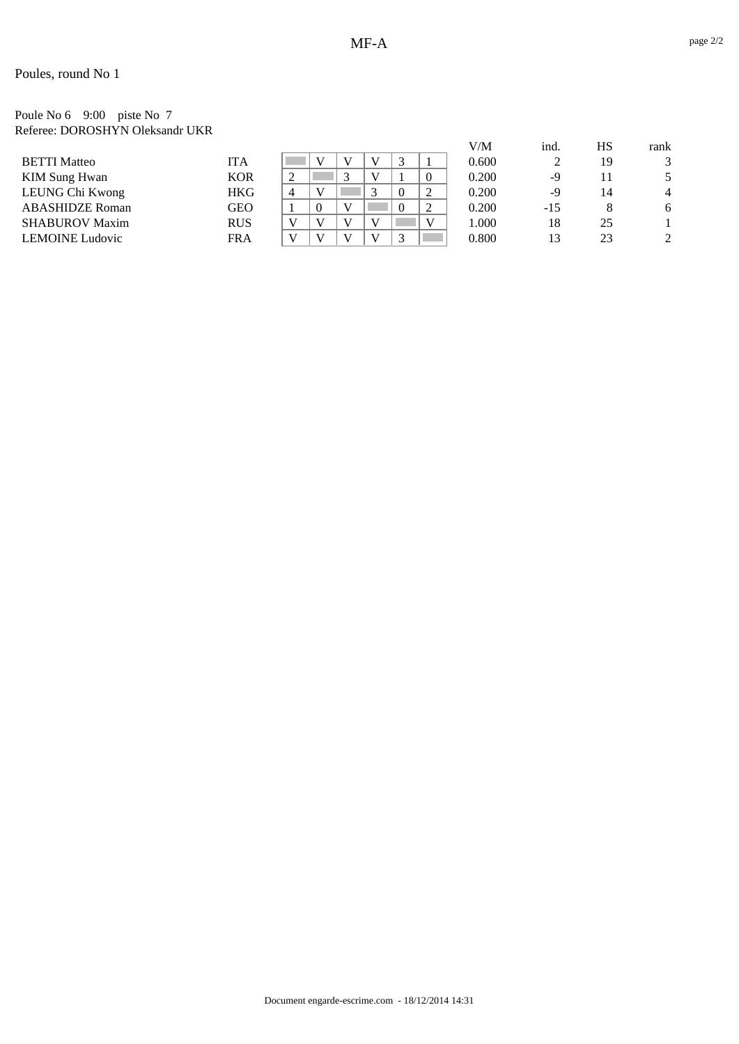## Poules, round No 1

#### Poule No 6 9:00 piste No 7 Referee: DOROSHYN Oleksandr UKR

|                        |            |                |          |    |        |          | V/M   | ind.  | НS | rank   |
|------------------------|------------|----------------|----------|----|--------|----------|-------|-------|----|--------|
| <b>BETTI Matteo</b>    | <b>ITA</b> |                |          |    | $\sim$ |          | 0.600 |       | 19 | 2<br>ر |
| <b>KIM Sung Hwan</b>   | <b>KOR</b> | ∠              |          |    |        | $\theta$ | 0.200 | -9    | 11 |        |
| LEUNG Chi Kwong        | <b>HKG</b> | $\overline{4}$ |          |    |        |          | 0.200 | -9    | 14 |        |
| <b>ABASHIDZE Roman</b> | GEO        |                | $\theta$ |    |        |          | 0.200 | $-15$ | 8  |        |
| <b>SHABUROV Maxim</b>  | <b>RUS</b> |                |          |    |        | v        | 1.000 | 18    | 25 |        |
| <b>LEMOINE</b> Ludovic | <b>FRA</b> |                |          | ŦТ | $\sim$ |          | 0.800 | 13    | 23 | 2      |
|                        |            |                |          |    |        |          |       |       |    |        |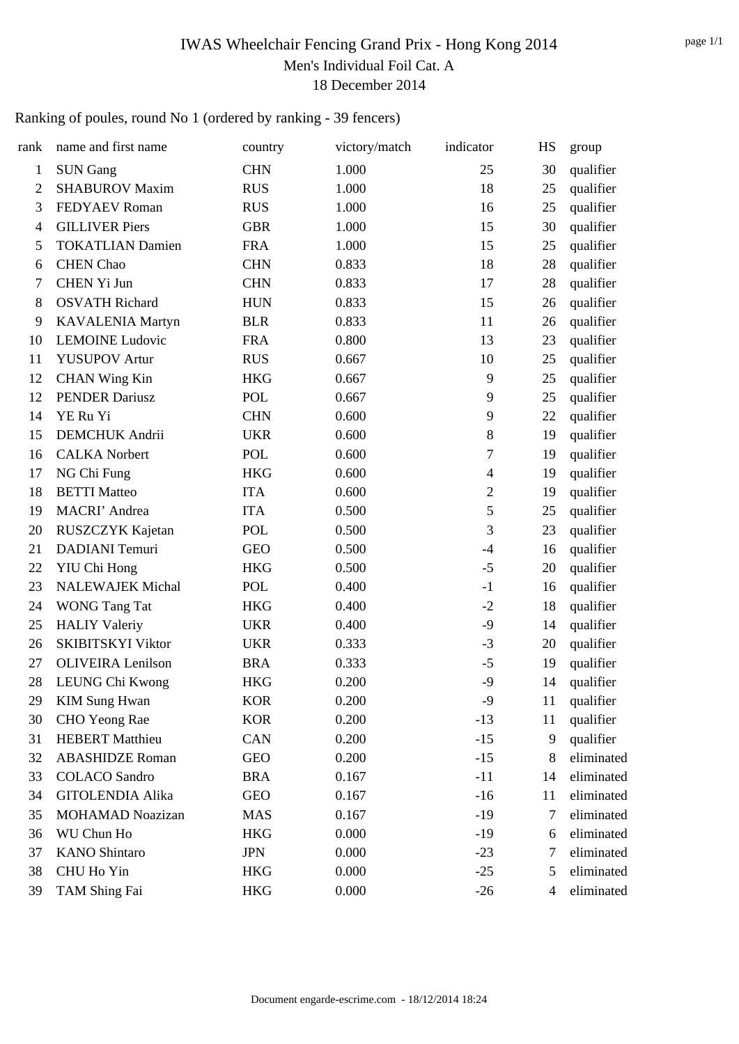# IWAS Wheelchair Fencing Grand Prix - Hong Kong 2014 Men's Individual Foil Cat. A 18 December 2014

# Ranking of poules, round No 1 (ordered by ranking - 39 fencers)

| rank           | name and first name      | country    | victory/match | indicator      | HS             | group      |
|----------------|--------------------------|------------|---------------|----------------|----------------|------------|
| $\mathbf{1}$   | <b>SUN Gang</b>          | <b>CHN</b> | 1.000         | 25             | 30             | qualifier  |
| $\overline{2}$ | <b>SHABUROV Maxim</b>    | <b>RUS</b> | 1.000         | 18             | 25             | qualifier  |
| 3              | <b>FEDYAEV Roman</b>     | <b>RUS</b> | 1.000         | 16             | 25             | qualifier  |
| $\overline{4}$ | <b>GILLIVER Piers</b>    | <b>GBR</b> | 1.000         | 15             | 30             | qualifier  |
| 5              | <b>TOKATLIAN Damien</b>  | <b>FRA</b> | 1.000         | 15             | 25             | qualifier  |
| 6              | <b>CHEN</b> Chao         | <b>CHN</b> | 0.833         | 18             | 28             | qualifier  |
| 7              | CHEN Yi Jun              | <b>CHN</b> | 0.833         | 17             | 28             | qualifier  |
| 8              | <b>OSVATH Richard</b>    | <b>HUN</b> | 0.833         | 15             | 26             | qualifier  |
| 9              | <b>KAVALENIA Martyn</b>  | <b>BLR</b> | 0.833         | 11             | 26             | qualifier  |
| 10             | <b>LEMOINE</b> Ludovic   | <b>FRA</b> | 0.800         | 13             | 23             | qualifier  |
| 11             | <b>YUSUPOV Artur</b>     | <b>RUS</b> | 0.667         | 10             | 25             | qualifier  |
| 12             | <b>CHAN Wing Kin</b>     | <b>HKG</b> | 0.667         | 9              | 25             | qualifier  |
| 12             | <b>PENDER Dariusz</b>    | POL        | 0.667         | 9              | 25             | qualifier  |
| 14             | YE Ru Yi                 | <b>CHN</b> | 0.600         | 9              | 22             | qualifier  |
| 15             | <b>DEMCHUK</b> Andrii    | <b>UKR</b> | 0.600         | $8\,$          | 19             | qualifier  |
| 16             | <b>CALKA</b> Norbert     | POL        | 0.600         | 7              | 19             | qualifier  |
| 17             | NG Chi Fung              | <b>HKG</b> | 0.600         | $\overline{4}$ | 19             | qualifier  |
| 18             | <b>BETTI</b> Matteo      | <b>ITA</b> | 0.600         | $\mathfrak{2}$ | 19             | qualifier  |
| 19             | MACRI' Andrea            | <b>ITA</b> | 0.500         | 5              | 25             | qualifier  |
| 20             | RUSZCZYK Kajetan         | POL        | 0.500         | 3              | 23             | qualifier  |
| 21             | <b>DADIANI</b> Temuri    | <b>GEO</b> | 0.500         | $-4$           | 16             | qualifier  |
| 22             | YIU Chi Hong             | <b>HKG</b> | 0.500         | $-5$           | 20             | qualifier  |
| 23             | <b>NALEWAJEK Michal</b>  | POL        | 0.400         | $-1$           | 16             | qualifier  |
| 24             | <b>WONG Tang Tat</b>     | <b>HKG</b> | 0.400         | $-2$           | 18             | qualifier  |
| 25             | <b>HALIY Valeriy</b>     | <b>UKR</b> | 0.400         | $-9$           | 14             | qualifier  |
| 26             | <b>SKIBITSKYI Viktor</b> | <b>UKR</b> | 0.333         | $-3$           | 20             | qualifier  |
| 27             | <b>OLIVEIRA</b> Lenilson | <b>BRA</b> | 0.333         | $-5$           | 19             | qualifier  |
| 28             | LEUNG Chi Kwong          | <b>HKG</b> | 0.200         | $-9$           | 14             | qualifier  |
| 29             | <b>KIM Sung Hwan</b>     | <b>KOR</b> | 0.200         | $-9$           | 11             | qualifier  |
| 30             | CHO Yeong Rae            | <b>KOR</b> | 0.200         | $-13$          | 11             | qualifier  |
| 31             | <b>HEBERT</b> Matthieu   | <b>CAN</b> | 0.200         | $-15$          | 9              | qualifier  |
| 32             | <b>ABASHIDZE Roman</b>   | <b>GEO</b> | 0.200         | $-15$          | 8              | eliminated |
| 33             | <b>COLACO</b> Sandro     | <b>BRA</b> | 0.167         | $-11$          | 14             | eliminated |
| 34             | <b>GITOLENDIA Alika</b>  | <b>GEO</b> | 0.167         | $-16$          | 11             | eliminated |
| 35             | <b>MOHAMAD Noazizan</b>  | <b>MAS</b> | 0.167         | $-19$          | 7              | eliminated |
| 36             | WU Chun Ho               | <b>HKG</b> | 0.000         | $-19$          | 6              | eliminated |
| 37             | <b>KANO</b> Shintaro     | <b>JPN</b> | 0.000         | $-23$          | 7              | eliminated |
| 38             | CHU Ho Yin               | <b>HKG</b> | 0.000         | $-25$          | 5              | eliminated |
| 39             | TAM Shing Fai            | <b>HKG</b> | 0.000         | $-26$          | $\overline{4}$ | eliminated |
|                |                          |            |               |                |                |            |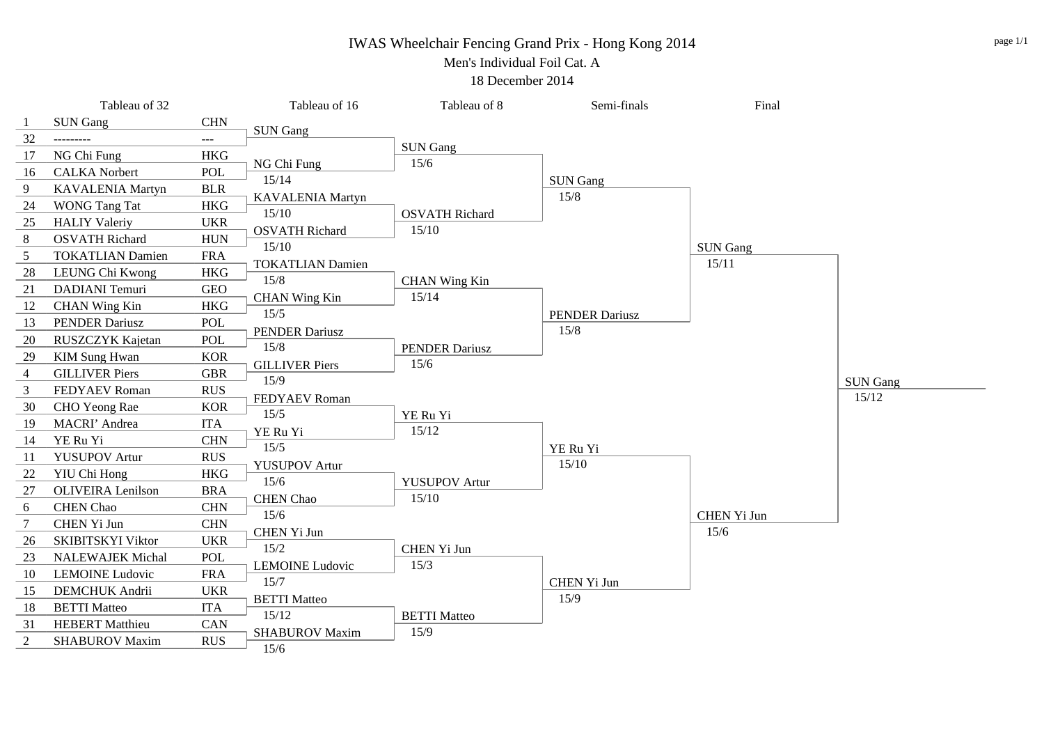#### IWAS Wheelchair Fencing Grand Prix - Hong Kong 2014

Men's Individual Foil Cat. A

18 December 2014